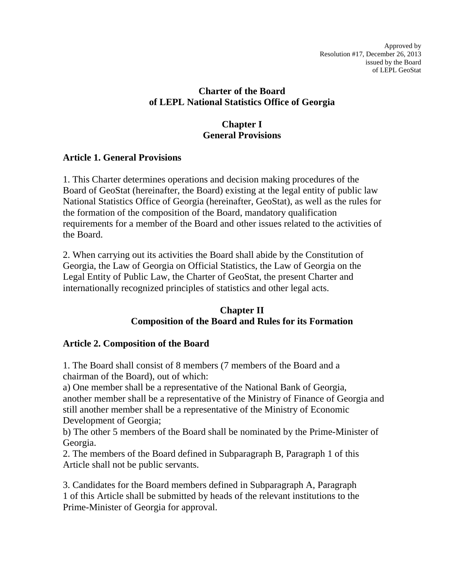### **Charter of the Board of LEPL National Statistics Office of Georgia**

#### **Chapter I General Provisions**

#### **Article 1. General Provisions**

1. This Charter determines operations and decision making procedures of the Board of GeoStat (hereinafter, the Board) existing at the legal entity of public law National Statistics Office of Georgia (hereinafter, GeoStat), as well as the rules for the formation of the composition of the Board, mandatory qualification requirements for a member of the Board and other issues related to the activities of the Board.

2. When carrying out its activities the Board shall abide by the Constitution of Georgia, the Law of Georgia on Official Statistics, the Law of Georgia on the Legal Entity of Public Law, the Charter of GeoStat, the present Charter and internationally recognized principles of statistics and other legal acts.

#### **Chapter II Composition of the Board and Rules for its Formation**

# **Article 2. Composition of the Board**

1. The Board shall consist of 8 members (7 members of the Board and a chairman of the Board), out of which:

a) One member shall be a representative of the National Bank of Georgia, another member shall be a representative of the Ministry of Finance of Georgia and still another member shall be a representative of the Ministry of Economic Development of Georgia;

b) The other 5 members of the Board shall be nominated by the Prime-Minister of Georgia.

2. The members of the Board defined in Subparagraph B, Paragraph 1 of this Article shall not be public servants.

3. Candidates for the Board members defined in Subparagraph A, Paragraph 1 of this Article shall be submitted by heads of the relevant institutions to the Prime-Minister of Georgia for approval.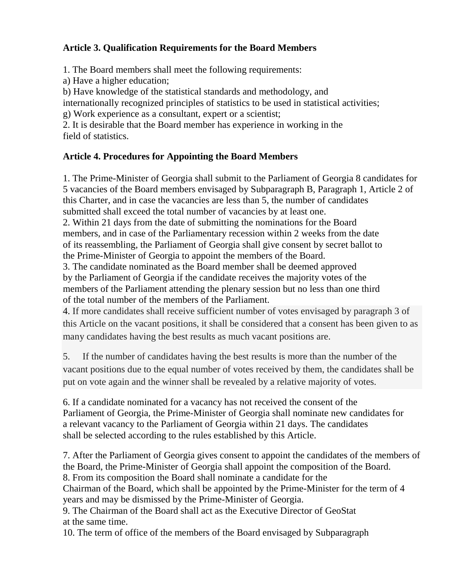# **Article 3. Qualification Requirements for the Board Members**

1. The Board members shall meet the following requirements:

a) Have a higher education;

b) Have knowledge of the statistical standards and methodology, and

internationally recognized principles of statistics to be used in statistical activities;

g) Work experience as a consultant, expert or a scientist;

2. It is desirable that the Board member has experience in working in the field of statistics.

# **Article 4. Procedures for Appointing the Board Members**

1. The Prime-Minister of Georgia shall submit to the Parliament of Georgia 8 candidates for 5 vacancies of the Board members envisaged by Subparagraph B, Paragraph 1, Article 2 of this Charter, and in case the vacancies are less than 5, the number of candidates submitted shall exceed the total number of vacancies by at least one.

2. Within 21 days from the date of submitting the nominations for the Board members, and in case of the Parliamentary recession within 2 weeks from the date of its reassembling, the Parliament of Georgia shall give consent by secret ballot to the Prime-Minister of Georgia to appoint the members of the Board.

3. The candidate nominated as the Board member shall be deemed approved by the Parliament of Georgia if the candidate receives the majority votes of the members of the Parliament attending the plenary session but no less than one third of the total number of the members of the Parliament.

4. If more candidates shall receive sufficient number of votes envisaged by paragraph 3 of this Article on the vacant positions, it shall be considered that a consent has been given to as many candidates having the best results as much vacant positions are.

5. If the number of candidates having the best results is more than the number of the vacant positions due to the equal number of votes received by them, the candidates shall be put on vote again and the winner shall be revealed by a relative majority of votes.

6. If a candidate nominated for a vacancy has not received the consent of the Parliament of Georgia, the Prime-Minister of Georgia shall nominate new candidates for a relevant vacancy to the Parliament of Georgia within 21 days. The candidates shall be selected according to the rules established by this Article.

7. After the Parliament of Georgia gives consent to appoint the candidates of the members of the Board, the Prime-Minister of Georgia shall appoint the composition of the Board. 8. From its composition the Board shall nominate a candidate for the Chairman of the Board, which shall be appointed by the Prime-Minister for the term of 4 years and may be dismissed by the Prime-Minister of Georgia. 9. The Chairman of the Board shall act as the Executive Director of GeoStat at the same time.

10. The term of office of the members of the Board envisaged by Subparagraph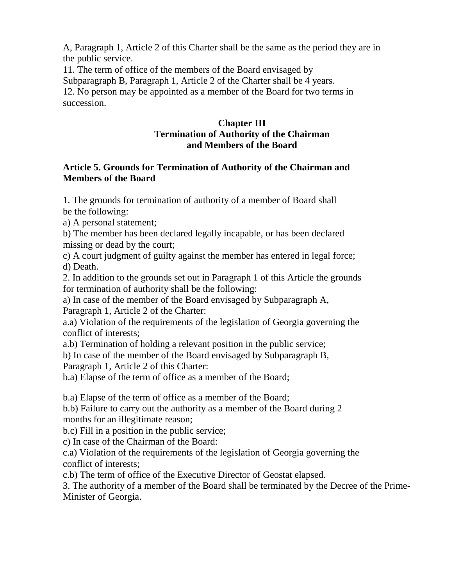A, Paragraph 1, Article 2 of this Charter shall be the same as the period they are in the public service.

11. The term of office of the members of the Board envisaged by Subparagraph B, Paragraph 1, Article 2 of the Charter shall be 4 years. 12. No person may be appointed as a member of the Board for two terms in succession.

#### **Chapter III Termination of Authority of the Chairman and Members of the Board**

#### **Article 5. Grounds for Termination of Authority of the Chairman and Members of the Board**

1. The grounds for termination of authority of a member of Board shall be the following:

a) A personal statement;

b) The member has been declared legally incapable, or has been declared missing or dead by the court;

c) A court judgment of guilty against the member has entered in legal force; d) Death.

2. In addition to the grounds set out in Paragraph 1 of this Article the grounds for termination of authority shall be the following:

a) In case of the member of the Board envisaged by Subparagraph A, Paragraph 1, Article 2 of the Charter:

a.a) Violation of the requirements of the legislation of Georgia governing the conflict of interests;

a.b) Termination of holding a relevant position in the public service;

b) In case of the member of the Board envisaged by Subparagraph B,

Paragraph 1, Article 2 of this Charter:

b.a) Elapse of the term of office as a member of the Board;

b.a) Elapse of the term of office as a member of the Board;

b.b) Failure to carry out the authority as a member of the Board during 2 months for an illegitimate reason;

b.c) Fill in a position in the public service;

c) In case of the Chairman of the Board:

c.a) Violation of the requirements of the legislation of Georgia governing the conflict of interests;

c.b) The term of office of the Executive Director of Geostat elapsed.

3. The authority of a member of the Board shall be terminated by the Decree of the Prime-Minister of Georgia.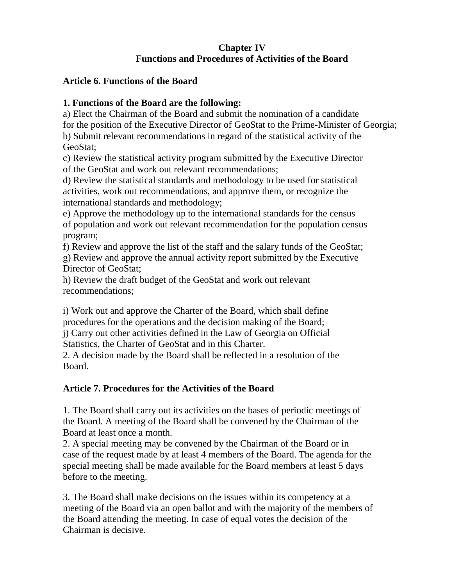# **Chapter IV Functions and Procedures of Activities of the Board**

#### **Article 6. Functions of the Board**

# **1. Functions of the Board are the following:**

a) Elect the Chairman of the Board and submit the nomination of a candidate for the position of the Executive Director of GeoStat to the Prime-Minister of Georgia; b) Submit relevant recommendations in regard of the statistical activity of the GeoStat;

c) Review the statistical activity program submitted by the Executive Director of the GeoStat and work out relevant recommendations;

d) Review the statistical standards and methodology to be used for statistical activities, work out recommendations, and approve them, or recognize the international standards and methodology;

e) Approve the methodology up to the international standards for the census of population and work out relevant recommendation for the population census program;

f) Review and approve the list of the staff and the salary funds of the GeoStat;

g) Review and approve the annual activity report submitted by the Executive Director of GeoStat;

h) Review the draft budget of the GeoStat and work out relevant recommendations;

i) Work out and approve the Charter of the Board, which shall define procedures for the operations and the decision making of the Board;

j) Carry out other activities defined in the Law of Georgia on Official Statistics, the Charter of GeoStat and in this Charter.

2. A decision made by the Board shall be reflected in a resolution of the Board.

# **Article 7. Procedures for the Activities of the Board**

1. The Board shall carry out its activities on the bases of periodic meetings of the Board. A meeting of the Board shall be convened by the Chairman of the Board at least once a month.

2. A special meeting may be convened by the Chairman of the Board or in case of the request made by at least 4 members of the Board. The agenda for the special meeting shall be made available for the Board members at least 5 days before to the meeting.

3. The Board shall make decisions on the issues within its competency at a meeting of the Board via an open ballot and with the majority of the members of the Board attending the meeting. In case of equal votes the decision of the Chairman is decisive.